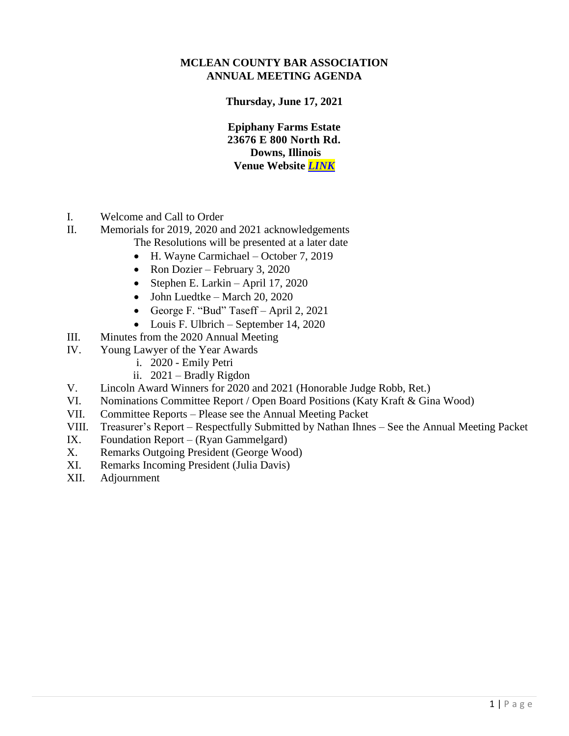## **MCLEAN COUNTY BAR ASSOCIATION ANNUAL MEETING AGENDA**

**Thursday, June 17, 2021**

**Epiphany Farms Estate 23676 E 800 North Rd. Downs, Illinois Venue Website** *[LINK](http://www.epiphanyfarms.com/new-page)*

- I. Welcome and Call to Order
- II. Memorials for 2019, 2020 and 2021 acknowledgements
	- The Resolutions will be presented at a later date
		- H. Wayne Carmichael October 7, 2019
		- Ron Dozier February 3, 2020
		- Stephen E. Larkin April 17, 2020
		- $\bullet$  John Luedtke March 20, 2020
		- George F. "Bud" Taseff April 2, 2021
		- Louis F. Ulbrich September 14, 2020
- III. Minutes from the 2020 Annual Meeting
- IV. Young Lawyer of the Year Awards
	- i. 2020 Emily Petri
	- ii. 2021 Bradly Rigdon
- V. Lincoln Award Winners for 2020 and 2021 (Honorable Judge Robb, Ret.)
- VI. Nominations Committee Report / Open Board Positions (Katy Kraft & Gina Wood)
- VII. Committee Reports Please see the Annual Meeting Packet
- VIII. Treasurer's Report Respectfully Submitted by Nathan Ihnes See the Annual Meeting Packet
- IX. Foundation Report (Ryan Gammelgard)
- X. Remarks Outgoing President (George Wood)
- XI. Remarks Incoming President (Julia Davis)
- XII. Adjournment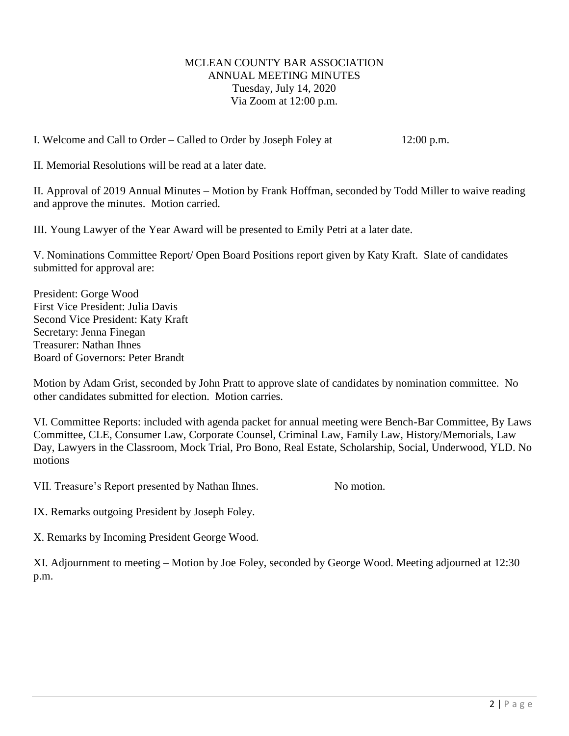## MCLEAN COUNTY BAR ASSOCIATION ANNUAL MEETING MINUTES Tuesday, July 14, 2020 Via Zoom at 12:00 p.m.

I. Welcome and Call to Order – Called to Order by Joseph Foley at 12:00 p.m.

II. Memorial Resolutions will be read at a later date.

II. Approval of 2019 Annual Minutes – Motion by Frank Hoffman, seconded by Todd Miller to waive reading and approve the minutes. Motion carried.

III. Young Lawyer of the Year Award will be presented to Emily Petri at a later date.

V. Nominations Committee Report/ Open Board Positions report given by Katy Kraft. Slate of candidates submitted for approval are:

President: Gorge Wood First Vice President: Julia Davis Second Vice President: Katy Kraft Secretary: Jenna Finegan Treasurer: Nathan Ihnes Board of Governors: Peter Brandt

Motion by Adam Grist, seconded by John Pratt to approve slate of candidates by nomination committee. No other candidates submitted for election. Motion carries.

VI. Committee Reports: included with agenda packet for annual meeting were Bench-Bar Committee, By Laws Committee, CLE, Consumer Law, Corporate Counsel, Criminal Law, Family Law, History/Memorials, Law Day, Lawyers in the Classroom, Mock Trial, Pro Bono, Real Estate, Scholarship, Social, Underwood, YLD. No motions

VII. Treasure's Report presented by Nathan Ihnes. No motion.

IX. Remarks outgoing President by Joseph Foley.

X. Remarks by Incoming President George Wood.

XI. Adjournment to meeting – Motion by Joe Foley, seconded by George Wood. Meeting adjourned at 12:30 p.m.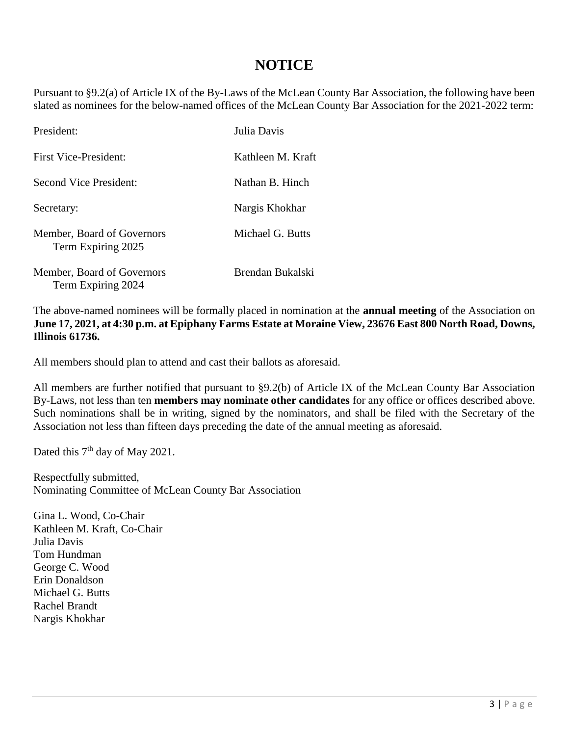## **NOTICE**

Pursuant to §9.2(a) of Article IX of the By-Laws of the McLean County Bar Association, the following have been slated as nominees for the below-named offices of the McLean County Bar Association for the 2021-2022 term:

| President:                                       | Julia Davis       |
|--------------------------------------------------|-------------------|
| First Vice-President:                            | Kathleen M. Kraft |
| Second Vice President:                           | Nathan B. Hinch   |
| Secretary:                                       | Nargis Khokhar    |
| Member, Board of Governors<br>Term Expiring 2025 | Michael G. Butts  |
| Member, Board of Governors<br>Term Expiring 2024 | Brendan Bukalski  |

The above-named nominees will be formally placed in nomination at the **annual meeting** of the Association on **June 17, 2021, at 4:30 p.m. at Epiphany Farms Estate at Moraine View, 23676 East 800 North Road, Downs, Illinois 61736.**

All members should plan to attend and cast their ballots as aforesaid.

All members are further notified that pursuant to §9.2(b) of Article IX of the McLean County Bar Association By-Laws, not less than ten **members may nominate other candidates** for any office or offices described above. Such nominations shall be in writing, signed by the nominators, and shall be filed with the Secretary of the Association not less than fifteen days preceding the date of the annual meeting as aforesaid.

Dated this 7<sup>th</sup> day of May 2021.

Respectfully submitted, Nominating Committee of McLean County Bar Association

Gina L. Wood, Co-Chair Kathleen M. Kraft, Co-Chair Julia Davis Tom Hundman George C. Wood Erin Donaldson Michael G. Butts Rachel Brandt Nargis Khokhar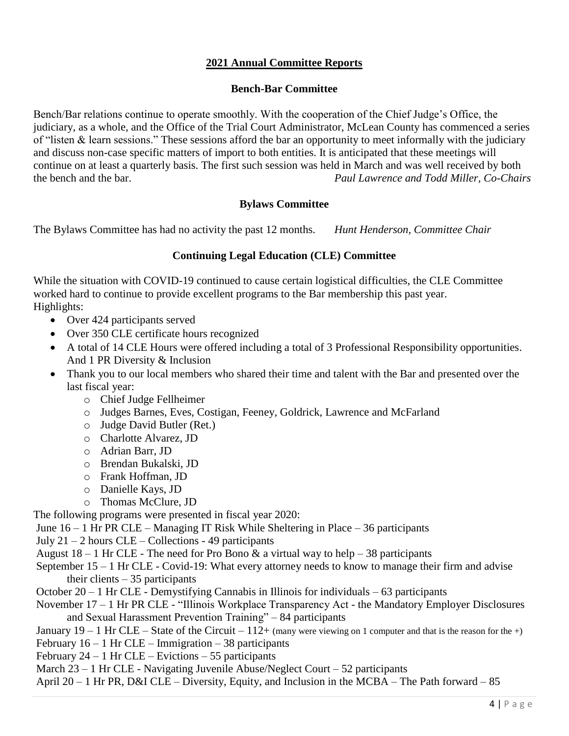## **2021 Annual Committee Reports**

## **Bench-Bar Committee**

Bench/Bar relations continue to operate smoothly. With the cooperation of the Chief Judge's Office, the judiciary, as a whole, and the Office of the Trial Court Administrator, McLean County has commenced a series of "listen & learn sessions." These sessions afford the bar an opportunity to meet informally with the judiciary and discuss non-case specific matters of import to both entities. It is anticipated that these meetings will continue on at least a quarterly basis. The first such session was held in March and was well received by both the bench and the bar. *Paul Lawrence and Todd Miller, Co-Chairs*

## **Bylaws Committee**

The Bylaws Committee has had no activity the past 12 months. *Hunt Henderson, Committee Chair*

## **Continuing Legal Education (CLE) Committee**

While the situation with COVID-19 continued to cause certain logistical difficulties, the CLE Committee worked hard to continue to provide excellent programs to the Bar membership this past year. Highlights:

- Over 424 participants served
- Over 350 CLE certificate hours recognized
- A total of 14 CLE Hours were offered including a total of 3 Professional Responsibility opportunities. And 1 PR Diversity & Inclusion
- Thank you to our local members who shared their time and talent with the Bar and presented over the last fiscal year:
	- o Chief Judge Fellheimer
	- o Judges Barnes, Eves, Costigan, Feeney, Goldrick, Lawrence and McFarland
	- o Judge David Butler (Ret.)
	- o Charlotte Alvarez, JD
	- o Adrian Barr, JD
	- o Brendan Bukalski, JD
	- o Frank Hoffman, JD
	- o Danielle Kays, JD
	- o Thomas McClure, JD

The following programs were presented in fiscal year 2020:

- June 16 1 Hr PR CLE Managing IT Risk While Sheltering in Place 36 participants
- July  $21 2$  hours  $CLE Collections 49$  participants
- August  $18 1$  Hr CLE The need for Pro Bono & a virtual way to help  $-38$  participants
- September 15 1 Hr CLE Covid-19: What every attorney needs to know to manage their firm and advise their clients  $-35$  participants
- October 20 1 Hr CLE Demystifying Cannabis in Illinois for individuals 63 participants
- November 17 1 Hr PR CLE "Illinois Workplace Transparency Act the Mandatory Employer Disclosures and Sexual Harassment Prevention Training" – 84 participants

January  $19 - 1$  Hr CLE – State of the Circuit –  $112 +$  (many were viewing on 1 computer and that is the reason for the +)

- February  $16 1$  Hr CLE Immigration 38 participants
- February  $24 1$  Hr CLE Evictions 55 participants
- March  $23 1$  Hr CLE Navigating Juvenile Abuse/Neglect Court 52 participants
- April 20 1 Hr PR, D&I CLE Diversity, Equity, and Inclusion in the MCBA The Path forward 85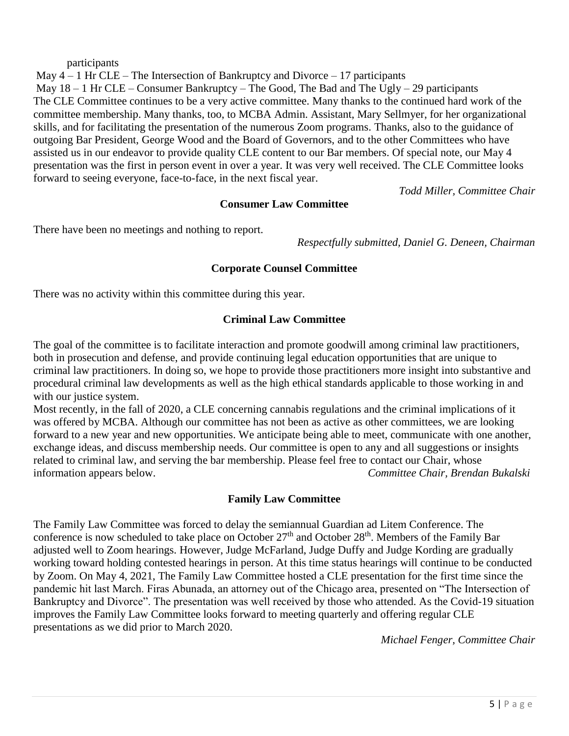#### participants

May  $4 - 1$  Hr CLE – The Intersection of Bankruptcy and Divorce – 17 participants May  $18 - 1$  Hr CLE – Consumer Bankruptcy – The Good, The Bad and The Ugly – 29 participants The CLE Committee continues to be a very active committee. Many thanks to the continued hard work of the committee membership. Many thanks, too, to MCBA Admin. Assistant, Mary Sellmyer, for her organizational skills, and for facilitating the presentation of the numerous Zoom programs. Thanks, also to the guidance of outgoing Bar President, George Wood and the Board of Governors, and to the other Committees who have assisted us in our endeavor to provide quality CLE content to our Bar members. Of special note, our May 4 presentation was the first in person event in over a year. It was very well received. The CLE Committee looks forward to seeing everyone, face-to-face, in the next fiscal year.

*Todd Miller, Committee Chair*

## **Consumer Law Committee**

There have been no meetings and nothing to report.

*Respectfully submitted, Daniel G. Deneen, Chairman*

#### **Corporate Counsel Committee**

There was no activity within this committee during this year.

## **Criminal Law Committee**

The goal of the committee is to facilitate interaction and promote goodwill among criminal law practitioners, both in prosecution and defense, and provide continuing legal education opportunities that are unique to criminal law practitioners. In doing so, we hope to provide those practitioners more insight into substantive and procedural criminal law developments as well as the high ethical standards applicable to those working in and with our justice system.

Most recently, in the fall of 2020, a CLE concerning cannabis regulations and the criminal implications of it was offered by MCBA. Although our committee has not been as active as other committees, we are looking forward to a new year and new opportunities. We anticipate being able to meet, communicate with one another, exchange ideas, and discuss membership needs. Our committee is open to any and all suggestions or insights related to criminal law, and serving the bar membership. Please feel free to contact our Chair, whose information appears below. *Committee Chair, Brendan Bukalski* 

## **Family Law Committee**

The Family Law Committee was forced to delay the semiannual Guardian ad Litem Conference. The conference is now scheduled to take place on October  $27<sup>th</sup>$  and October  $28<sup>th</sup>$ . Members of the Family Bar adjusted well to Zoom hearings. However, Judge McFarland, Judge Duffy and Judge Kording are gradually working toward holding contested hearings in person. At this time status hearings will continue to be conducted by Zoom. On May 4, 2021, The Family Law Committee hosted a CLE presentation for the first time since the pandemic hit last March. Firas Abunada, an attorney out of the Chicago area, presented on "The Intersection of Bankruptcy and Divorce". The presentation was well received by those who attended. As the Covid-19 situation improves the Family Law Committee looks forward to meeting quarterly and offering regular CLE presentations as we did prior to March 2020.

*Michael Fenger, Committee Chair*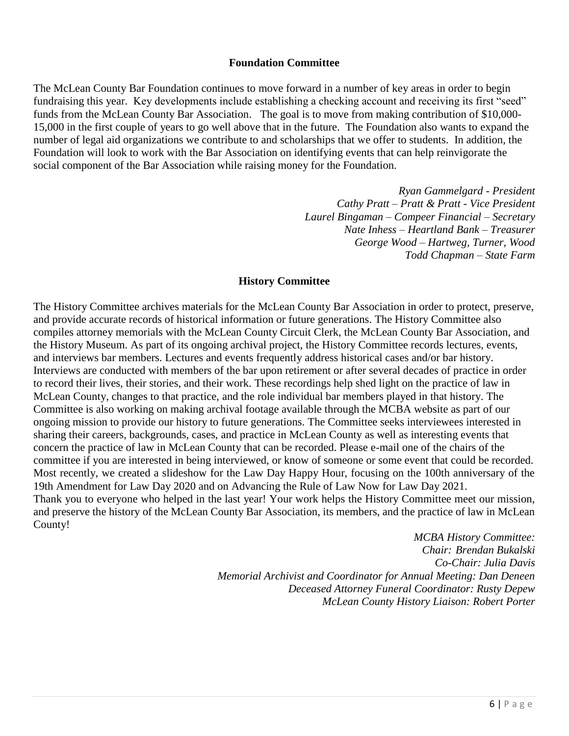#### **Foundation Committee**

The McLean County Bar Foundation continues to move forward in a number of key areas in order to begin fundraising this year. Key developments include establishing a checking account and receiving its first "seed" funds from the McLean County Bar Association. The goal is to move from making contribution of \$10,000- 15,000 in the first couple of years to go well above that in the future. The Foundation also wants to expand the number of legal aid organizations we contribute to and scholarships that we offer to students. In addition, the Foundation will look to work with the Bar Association on identifying events that can help reinvigorate the social component of the Bar Association while raising money for the Foundation.

> *Ryan Gammelgard - President Cathy Pratt – Pratt & Pratt - Vice President Laurel Bingaman – Compeer Financial – Secretary Nate Inhess – Heartland Bank – Treasurer George Wood – Hartweg, Turner, Wood Todd Chapman – State Farm*

#### **History Committee**

The History Committee archives materials for the McLean County Bar Association in order to protect, preserve, and provide accurate records of historical information or future generations. The History Committee also compiles attorney memorials with the McLean County Circuit Clerk, the McLean County Bar Association, and the History Museum. As part of its ongoing archival project, the History Committee records lectures, events, and interviews bar members. Lectures and events frequently address historical cases and/or bar history. Interviews are conducted with members of the bar upon retirement or after several decades of practice in order to record their lives, their stories, and their work. These recordings help shed light on the practice of law in McLean County, changes to that practice, and the role individual bar members played in that history. The Committee is also working on making archival footage available through the MCBA website as part of our ongoing mission to provide our history to future generations. The Committee seeks interviewees interested in sharing their careers, backgrounds, cases, and practice in McLean County as well as interesting events that concern the practice of law in McLean County that can be recorded. Please e-mail one of the chairs of the committee if you are interested in being interviewed, or know of someone or some event that could be recorded. Most recently, we created a slideshow for the Law Day Happy Hour, focusing on the 100th anniversary of the 19th Amendment for Law Day 2020 and on Advancing the Rule of Law Now for Law Day 2021. Thank you to everyone who helped in the last year! Your work helps the History Committee meet our mission, and preserve the history of the McLean County Bar Association, its members, and the practice of law in McLean County!

> *MCBA History Committee: Chair: Brendan Bukalski Co-Chair: Julia Davis Memorial Archivist and Coordinator for Annual Meeting: Dan Deneen Deceased Attorney Funeral Coordinator: Rusty Depew McLean County History Liaison: Robert Porter*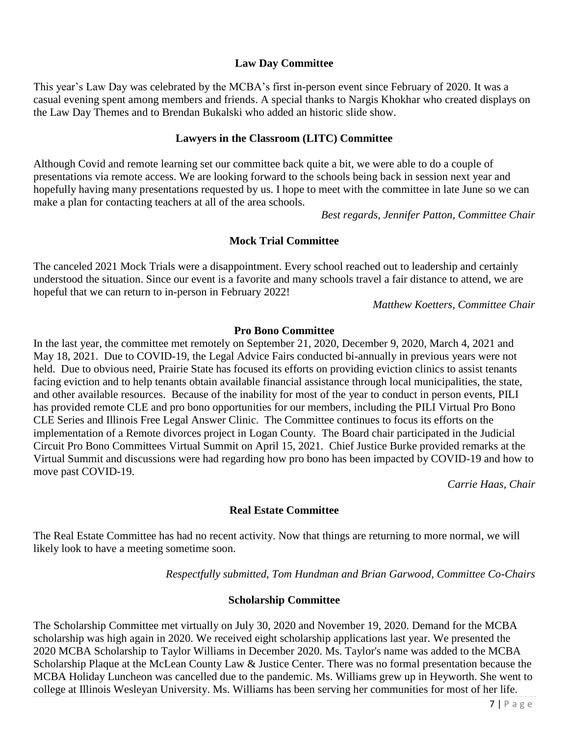## **Law Day Committee**

This year's Law Day was celebrated by the MCBA's first in-person event since February of 2020. It was a casual evening spent among members and friends. A special thanks to Nargis Khokhar who created displays on the Law Day Themes and to Brendan Bukalski who added an historic slide show.

### **Lawyers in the Classroom (LITC) Committee**

Although Covid and remote learning set our committee back quite a bit, we were able to do a couple of presentations via remote access. We are looking forward to the schools being back in session next year and hopefully having many presentations requested by us. I hope to meet with the committee in late June so we can make a plan for contacting teachers at all of the area schools.

*Best regards, Jennifer Patton, Committee Chair*

## **Mock Trial Committee**

The canceled 2021 Mock Trials were a disappointment. Every school reached out to leadership and certainly understood the situation. Since our event is a favorite and many schools travel a fair distance to attend, we are hopeful that we can return to in-person in February 2022!

*Matthew Koetters, Committee Chair*

## **Pro Bono Committee**

In the last year, the committee met remotely on September 21, 2020, December 9, 2020, March 4, 2021 and May 18, 2021. Due to COVID-19, the Legal Advice Fairs conducted bi-annually in previous years were not held. Due to obvious need, Prairie State has focused its efforts on providing eviction clinics to assist tenants facing eviction and to help tenants obtain available financial assistance through local municipalities, the state, and other available resources. Because of the inability for most of the year to conduct in person events, PILI has provided remote CLE and pro bono opportunities for our members, including the PILI Virtual Pro Bono CLE Series and Illinois Free Legal Answer Clinic. The Committee continues to focus its efforts on the implementation of a Remote divorces project in Logan County. The Board chair participated in the Judicial Circuit Pro Bono Committees Virtual Summit on April 15, 2021. Chief Justice Burke provided remarks at the Virtual Summit and discussions were had regarding how pro bono has been impacted by COVID-19 and how to move past COVID-19.

*Carrie Haas, Chair*

#### **Real Estate Committee**

The Real Estate Committee has had no recent activity. Now that things are returning to more normal, we will likely look to have a meeting sometime soon.

*Respectfully submitted, Tom Hundman and Brian Garwood, Committee Co-Chairs*

#### **Scholarship Committee**

The Scholarship Committee met virtually on July 30, 2020 and November 19, 2020. Demand for the MCBA scholarship was high again in 2020. We received eight scholarship applications last year. We presented the 2020 MCBA Scholarship to Taylor Williams in December 2020. Ms. Taylor's name was added to the MCBA Scholarship Plaque at the McLean County Law & Justice Center. There was no formal presentation because the MCBA Holiday Luncheon was cancelled due to the pandemic. Ms. Williams grew up in Heyworth. She went to college at Illinois Wesleyan University. Ms. Williams has been serving her communities for most of her life.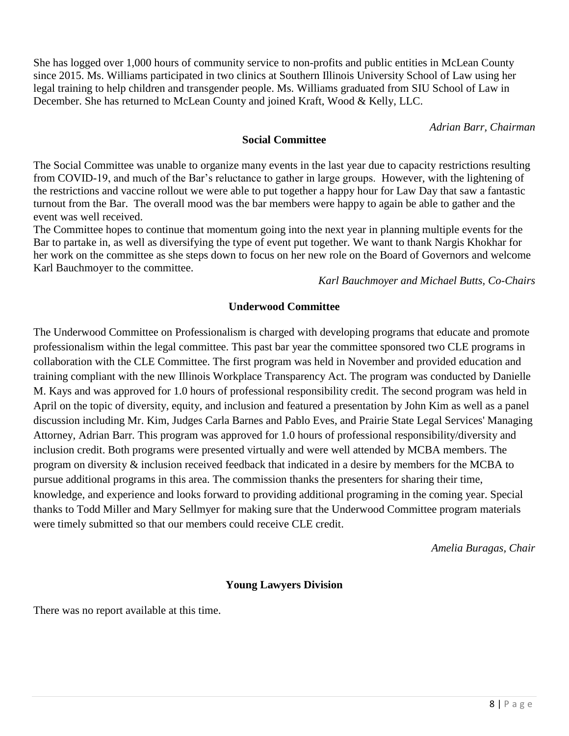She has logged over 1,000 hours of community service to non-profits and public entities in McLean County since 2015. Ms. Williams participated in two clinics at Southern Illinois University School of Law using her legal training to help children and transgender people. Ms. Williams graduated from SIU School of Law in December. She has returned to McLean County and joined Kraft, Wood & Kelly, LLC.

*Adrian Barr, Chairman*

#### **Social Committee**

The Social Committee was unable to organize many events in the last year due to capacity restrictions resulting from COVID-19, and much of the Bar's reluctance to gather in large groups. However, with the lightening of the restrictions and vaccine rollout we were able to put together a happy hour for Law Day that saw a fantastic turnout from the Bar. The overall mood was the bar members were happy to again be able to gather and the event was well received.

The Committee hopes to continue that momentum going into the next year in planning multiple events for the Bar to partake in, as well as diversifying the type of event put together. We want to thank Nargis Khokhar for her work on the committee as she steps down to focus on her new role on the Board of Governors and welcome Karl Bauchmoyer to the committee.

*Karl Bauchmoyer and Michael Butts, Co-Chairs*

#### **Underwood Committee**

The Underwood Committee on Professionalism is charged with developing programs that educate and promote professionalism within the legal committee. This past bar year the committee sponsored two CLE programs in collaboration with the CLE Committee. The first program was held in November and provided education and training compliant with the new Illinois Workplace Transparency Act. The program was conducted by Danielle M. Kays and was approved for 1.0 hours of professional responsibility credit. The second program was held in April on the topic of diversity, equity, and inclusion and featured a presentation by John Kim as well as a panel discussion including Mr. Kim, Judges Carla Barnes and Pablo Eves, and Prairie State Legal Services' Managing Attorney, Adrian Barr. This program was approved for 1.0 hours of professional responsibility/diversity and inclusion credit. Both programs were presented virtually and were well attended by MCBA members. The program on diversity & inclusion received feedback that indicated in a desire by members for the MCBA to pursue additional programs in this area. The commission thanks the presenters for sharing their time, knowledge, and experience and looks forward to providing additional programing in the coming year. Special thanks to Todd Miller and Mary Sellmyer for making sure that the Underwood Committee program materials were timely submitted so that our members could receive CLE credit.

*Amelia Buragas, Chair*

#### **Young Lawyers Division**

There was no report available at this time.